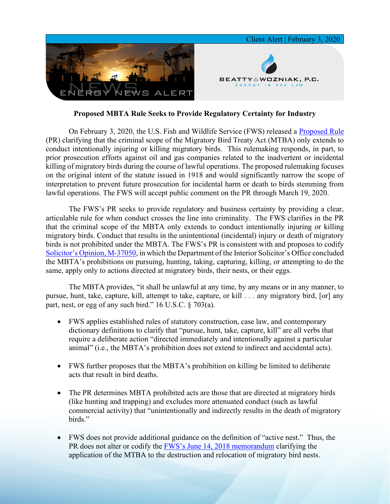

## **Proposed MBTA Rule Seeks to Provide Regulatory Certainty for Industry**

On February 3, 2020, the U.S. Fish and Wildlife Service (FWS) released a [Proposed Rule](https://7786d557-4329-4d99-be6b-ee891e97ad6a.filesusr.com/ugd/368105_d07c07bb8beb41e3b87c6067e4497dbf.pdf) (PR) clarifying that the criminal scope of the Migratory Bird Treaty Act (MTBA) only extends to conduct intentionally injuring or killing migratory birds. This rulemaking responds, in part, to prior prosecution efforts against oil and gas companies related to the inadvertent or incidental killing of migratory birds during the course of lawful operations. The proposed rulemaking focuses on the original intent of the statute issued in 1918 and would significantly narrow the scope of interpretation to prevent future prosecution for incidental harm or death to birds stemming from lawful operations. The FWS will accept public comment on the PR through March 19, 2020.

The FWS's PR seeks to provide regulatory and business certainty by providing a clear, articulable rule for when conduct crosses the line into criminality. The FWS clarifies in the PR that the criminal scope of the MBTA only extends to conduct intentionally injuring or killing migratory birds. Conduct that results in the unintentional (incidental) injury or death of migratory birds is not prohibited under the MBTA. The FWS's PR is consistent with and proposes to codify [Solicitor's Opinion, M-37050,](https://www.doi.gov/sites/doi.gov/files/uploads/m-37050.pdf) in which the Department of the Interior Solicitor's Office concluded the MBTA's prohibitions on pursuing, hunting, taking, capturing, killing, or attempting to do the same, apply only to actions directed at migratory birds, their nests, or their eggs.

The MBTA provides, "it shall be unlawful at any time, by any means or in any manner, to pursue, hunt, take, capture, kill, attempt to take, capture, or kill . . . any migratory bird, [or] any part, nest, or egg of any such bird." 16 U.S.C. § 703(a).

- FWS applies established rules of statutory construction, case law, and contemporary dictionary definitions to clarify that "pursue, hunt, take, capture, kill" are all verbs that require a deliberate action "directed immediately and intentionally against a particular animal" (i.e., the MBTA's prohibition does not extend to indirect and accidental acts).
- FWS further proposes that the MBTA's prohibition on killing be limited to deliberate acts that result in bird deaths.
- The PR determines MBTA prohibited acts are those that are directed at migratory birds (like hunting and trapping) and excludes more attenuated conduct (such as lawful commercial activity) that "unintentionally and indirectly results in the death of migratory birds."
- FWS does not provide additional guidance on the definition of "active nest." Thus, the PR does not alter or codify the [FWS's June 14, 2018 memorandum](https://www.fws.gov/policy/m0407.pdf) clarifying the application of the MTBA to the destruction and relocation of migratory bird nests.